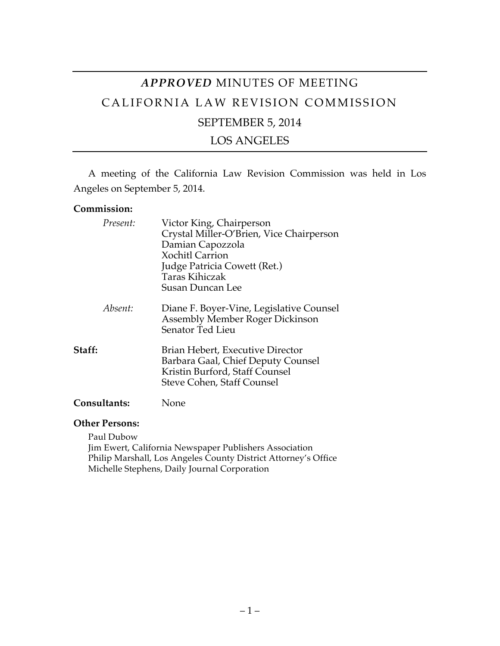# *APPROVED* MINUTES OF MEETING CALIFORNIA LAW REVISION COMMISSION SEPTEMBER 5, 2014

LOS ANGELES

A meeting of the California Law Revision Commission was held in Los Angeles on September 5, 2014.

### **Commission:**

| Present:            | Victor King, Chairperson<br>Crystal Miller-O'Brien, Vice Chairperson<br>Damian Capozzola<br><b>Xochitl Carrion</b><br>Judge Patricia Cowett (Ret.)<br>Taras Kihiczak<br>Susan Duncan Lee |
|---------------------|------------------------------------------------------------------------------------------------------------------------------------------------------------------------------------------|
| Absent:             | Diane F. Boyer-Vine, Legislative Counsel<br><b>Assembly Member Roger Dickinson</b><br>Senator Ted Lieu                                                                                   |
| Staff:              | Brian Hebert, Executive Director<br>Barbara Gaal, Chief Deputy Counsel<br>Kristin Burford, Staff Counsel<br>Steve Cohen, Staff Counsel                                                   |
| <b>Consultants:</b> | Jone                                                                                                                                                                                     |

#### **Other Persons:**

Paul Dubow Jim Ewert, California Newspaper Publishers Association Philip Marshall, Los Angeles County District Attorney's Office Michelle Stephens, Daily Journal Corporation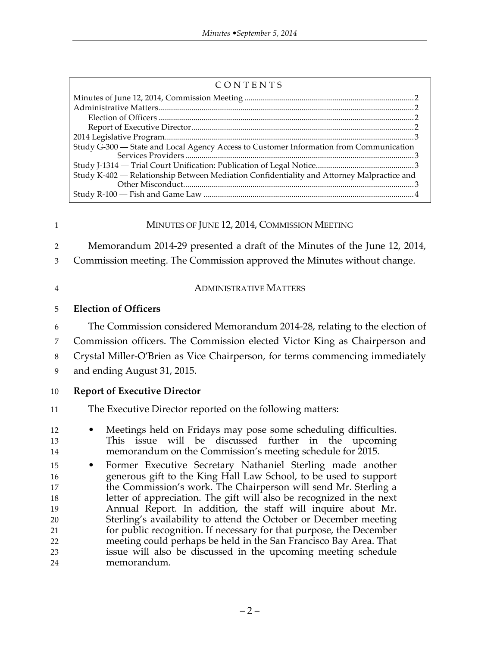| CONTENTS |
|----------|
|----------|

| Study G-300 - State and Local Agency Access to Customer Information from Communication    |  |
|-------------------------------------------------------------------------------------------|--|
|                                                                                           |  |
|                                                                                           |  |
| Study K-402 — Relationship Between Mediation Confidentiality and Attorney Malpractice and |  |
|                                                                                           |  |
|                                                                                           |  |
|                                                                                           |  |

# 1 MINUTES OF JUNE 12, 2014, COMMISSION MEETING

Memorandum 2014-29 presented a draft of the Minutes of the June 12, 2014,

Commission meeting. The Commission approved the Minutes without change.

### ADMINISTRATIVE MATTERS

# **Election of Officers**

 The Commission considered Memorandum 2014-28, relating to the election of Commission officers. The Commission elected Victor King as Chairperson and

Crystal Miller-O'Brien as Vice Chairperson, for terms commencing immediately

and ending August 31, 2015.

# **Report of Executive Director**

# The Executive Director reported on the following matters:

- Meetings held on Fridays may pose some scheduling difficulties. This issue will be discussed further in the upcoming memorandum on the Commission's meeting schedule for 2015.
- Former Executive Secretary Nathaniel Sterling made another generous gift to the King Hall Law School, to be used to support the Commission's work. The Chairperson will send Mr. Sterling a letter of appreciation. The gift will also be recognized in the next Annual Report. In addition, the staff will inquire about Mr. Sterling's availability to attend the October or December meeting for public recognition. If necessary for that purpose, the December meeting could perhaps be held in the San Francisco Bay Area. That issue will also be discussed in the upcoming meeting schedule memorandum.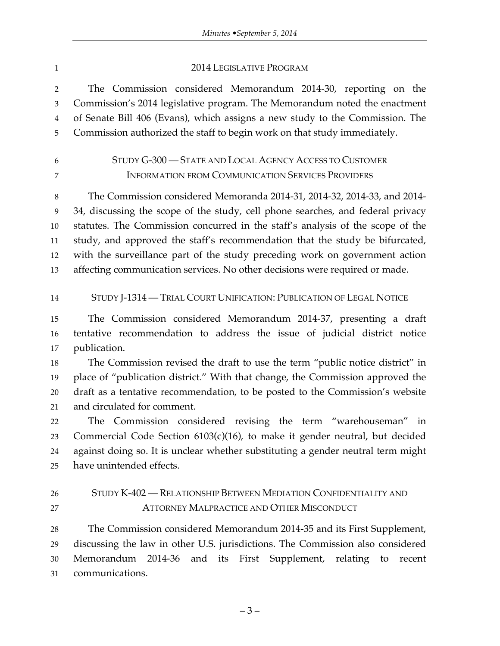#### 1 2014 LEGISLATIVE PROGRAM

 The Commission considered Memorandum 2014-30, reporting on the Commission's 2014 legislative program. The Memorandum noted the enactment of Senate Bill 406 (Evans), which assigns a new study to the Commission. The Commission authorized the staff to begin work on that study immediately.

# STUDY G-300 — STATE AND LOCAL AGENCY ACCESS TO CUSTOMER INFORMATION FROM COMMUNICATION SERVICES PROVIDERS

 The Commission considered Memoranda 2014-31, 2014-32, 2014-33, and 2014- 34, discussing the scope of the study, cell phone searches, and federal privacy statutes. The Commission concurred in the staff's analysis of the scope of the study, and approved the staff's recommendation that the study be bifurcated, with the surveillance part of the study preceding work on government action affecting communication services. No other decisions were required or made.

# STUDY J-1314 — TRIAL COURT UNIFICATION: PUBLICATION OF LEGAL NOTICE

 The Commission considered Memorandum 2014-37, presenting a draft tentative recommendation to address the issue of judicial district notice publication.

 The Commission revised the draft to use the term "public notice district" in place of "publication district." With that change, the Commission approved the draft as a tentative recommendation, to be posted to the Commission's website and circulated for comment.

 The Commission considered revising the term "warehouseman" in Commercial Code Section 6103(c)(16), to make it gender neutral, but decided against doing so. It is unclear whether substituting a gender neutral term might have unintended effects.

# STUDY K-402 — RELATIONSHIP BETWEEN MEDIATION CONFIDENTIALITY AND **ATTORNEY MALPRACTICE AND OTHER MISCONDUCT**

 The Commission considered Memorandum 2014-35 and its First Supplement, discussing the law in other U.S. jurisdictions. The Commission also considered Memorandum 2014-36 and its First Supplement, relating to recent communications.